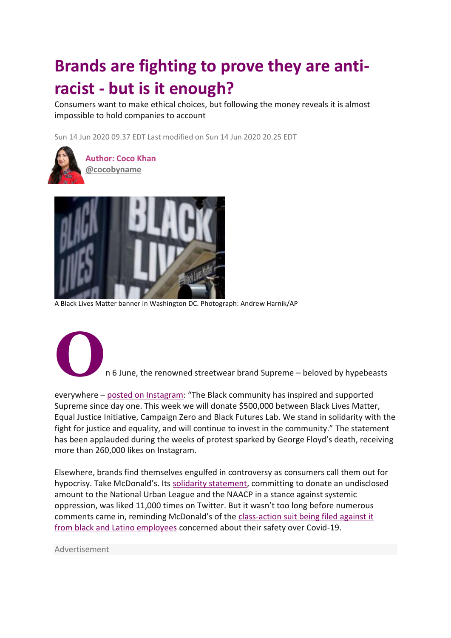## **Brands are fighting to prove they are antiracist - but is it enough?**

Consumers want to make ethical choices, but following the money reveals it is almost impossible to hold companies to account

Sun 14 Jun 2020 09.37 EDT Last modified on Sun 14 Jun 2020 20.25 ED[T](https://www.theguardian.com/fashion/2020/jun/14/brands-anti-racist-money#img-1)



 **Author: Coco Khan [@cocobyname](https://twitter.com/cocobyname)**



A Black Lives Matter banner in Washington DC. Photograph: Andrew Harnik/AP



**O**n 6 June, the renowned streetwear brand Supreme – beloved by hypebeasts

everywhere – [posted on Instagram](https://www.instagram.com/p/CBBHh6clryp/): "The Black community has inspired and supported Supreme since day one. This week we will donate \$500,000 between Black Lives Matter, Equal Justice Initiative, Campaign Zero and Black Futures Lab. We stand in solidarity with the fight for justice and equality, and will continue to invest in the community." The statement has been applauded during the weeks of protest sparked by George Floyd's death, receiving more than 260,000 likes on Instagram.

Elsewhere, brands find themselves engulfed in controversy as consumers call them out for hypocrisy. Take McDonald's. Its [solidarity statement,](https://twitter.com/McDonalds/status/1268165315415900160?ref_src=twsrc%5Etfw) committing to donate an undisclosed amount to the National Urban League and the NAACP in a stance against systemic oppression, was liked 11,000 times on Twitter. But it wasn't too long before numerous comments came in, reminding McDonald's of the [class-action suit being filed against it](https://www.reuters.com/article/us-health-coronavirus-mcdonald-s-corp-la/covid-19-lawsuit-takes-on-mcdonalds-like-it-was-a-rowdy-bar-idUSKBN2321H6)  [from](https://www.reuters.com/article/us-health-coronavirus-mcdonald-s-corp-la/covid-19-lawsuit-takes-on-mcdonalds-like-it-was-a-rowdy-bar-idUSKBN2321H6) [black and Latino employees](https://www.reuters.com/article/us-health-coronavirus-mcdonald-s-corp-la/covid-19-lawsuit-takes-on-mcdonalds-like-it-was-a-rowdy-bar-idUSKBN2321H6) concerned about their safety over Covid-19.

Advertisement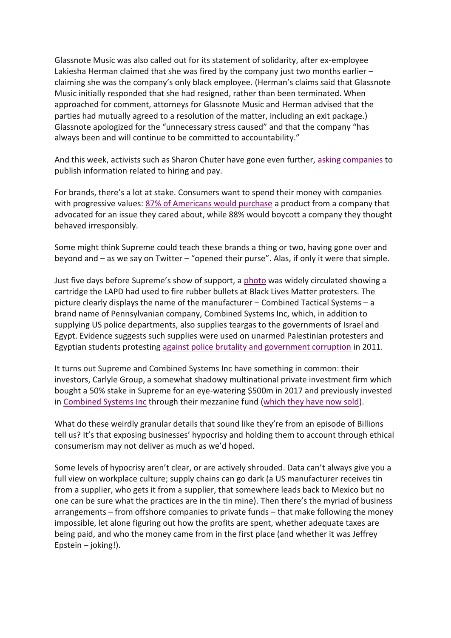Glassnote Music was also called out for its statement of solidarity, after ex-employee Lakiesha Herman claimed that she was fired by the company just two months earlier – claiming she was the company's only black employee. (Herman's claims said that Glassnote Music initially responded that she had resigned, rather than been terminated. When approached for comment, attorneys for Glassnote Music and Herman advised that the parties had mutually agreed to a resolution of the matter, including an exit package.) Glassnote apologized for the "unnecessary stress caused" and that the company "has always been and will continue to be committed to accountability."

And this week, activists such as Sharon Chuter have gone even further, [asking companies](https://www.buzzfeednews.com/article/tanyachen/this-woman-is-asking-major-brands-to-pull-up-their) to publish information related to hiring and pay.

For brands, there's a lot at stake. Consumers want to spend their money with companies with progressive values: [87% of Americans would purchase](https://www.statista.com/statistics/818968/most-popular-ways-to-be-an-ethical-consumer-us/) a product from a company that advocated for an issue they cared about, while 88% would boycott a company they thought behaved irresponsibly.

Some might think Supreme could teach these brands a thing or two, having gone over and beyond and – as we say on Twitter – "opened their purse". Alas, if only it were that simple.

Just five days before Supreme's show of support, a [photo](https://twitter.com/kmlytong/status/1267231950864912391) was widely circulated showing a cartridge the LAPD had used to fire rubber bullets at Black Lives Matter protesters. The picture clearly displays the name of the manufacturer – Combined Tactical Systems – a brand name of Pennsylvanian company, Combined Systems Inc, which, in addition to supplying US police departments, also supplies teargas to the governments of Israel and Egypt. Evidence suggests such supplies were used on unarmed Palestinian protesters and Egyptian students protesting [against police brutality and government corruption](https://www.theguardian.com/world/2011/dec/07/us-firms-teargas-egypt-investigation) in 2011.

It turns out Supreme and Combined Systems Inc have something in common: their investors, Carlyle Group, a somewhat shadowy multinational private investment firm which bought a 50% stake in Supreme for an eye-watering \$500m in 2017 and previously invested in [Combined Systems Inc](https://www.carlyle.com/media-room/news-release-archive/carlyle-group-raises-436-million-first-fund-dedicated-mezzanine) through their mezzanine fund [\(which they have now sold\)](https://www.marketwatch.com/story/critics-say-kkrs-responsible-investment-stance-is-being-clouded-by-its-stake-in-a-controversial-tear-gas-make-2019-11-25).

What do these weirdly granular details that sound like they're from an episode of Billions tell us? It's that exposing businesses' hypocrisy and holding them to account through ethical consumerism may not deliver as much as we'd hoped.

Some levels of hypocrisy aren't clear, or are actively shrouded. Data can't always give you a full view on workplace culture; supply chains can go dark (a US manufacturer receives tin from a supplier, who gets it from a supplier, that somewhere leads back to Mexico but no one can be sure what the practices are in the tin mine). Then there's the myriad of business arrangements – from offshore companies to private funds – that make following the money impossible, let alone figuring out how the profits are spent, whether adequate taxes are being paid, and who the money came from in the first place (and whether it was Jeffrey Epstein – joking!).